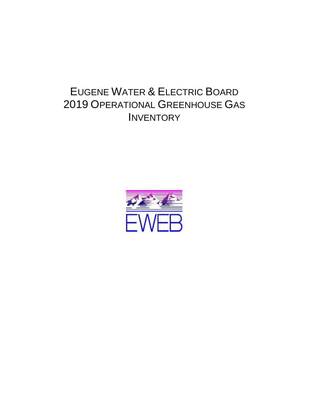# EUGENE WATER & ELECTRIC BOARD 2019 OPERATIONAL GREENHOUSE GAS **INVENTORY**

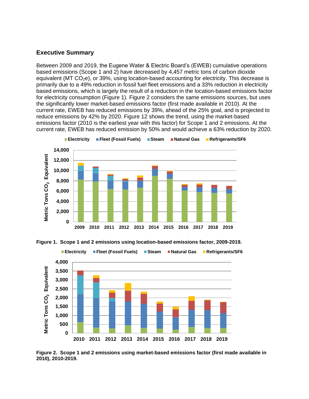#### **Executive Summary**

Between 2009 and 2019, the Eugene Water & Electric Board's (EWEB) cumulative operations based emissions (Scope 1 and 2) have decreased by 4,457 metric tons of carbon dioxide equivalent (MT  $CO<sub>2</sub>e$ ), or 39%, using location-based accounting for electricity. This decrease is primarily due to a 49% reduction in fossil fuel fleet emissions and a 33% reduction in electricity based emissions, which is largely the result of a reduction in the location-based emissions factor for electricity consumption (Figure 1). Figure 2 considers the same emissions sources, but uses the significantly lower market-based emissions factor (first made available in 2010). At the current rate, EWEB has reduced emissions by 39%, ahead of the 25% goal, and is projected to reduce emissions by 42% by 2020. Figure 12 shows the trend, using the market-based emissions factor (2010 is the earliest year with this factor) for Scope 1 and 2 emissions. At the current rate, EWEB has reduced emission by 50% and would achieve a 63% reduction by 2020.







**Figure 2. Scope 1 and 2 emissions using market-based emissions factor (first made available in 2010), 2010-2019.**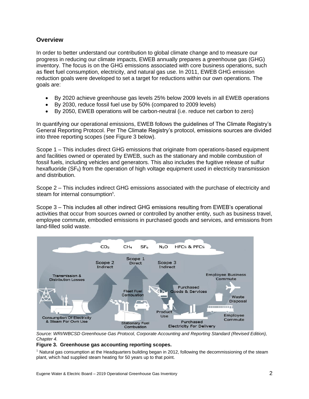### **Overview**

In order to better understand our contribution to global climate change and to measure our progress in reducing our climate impacts, EWEB annually prepares a greenhouse gas (GHG) inventory. The focus is on the GHG emissions associated with core business operations, such as fleet fuel consumption, electricity, and natural gas use. In 2011, EWEB GHG emission reduction goals were developed to set a target for reductions within our own operations. The goals are:

- By 2020 achieve greenhouse gas levels 25% below 2009 levels in all EWEB operations
- By 2030, reduce fossil fuel use by 50% (compared to 2009 levels)
- By 2050, EWEB operations will be carbon-neutral (i.e. reduce net carbon to zero)

In quantifying our operational emissions, EWEB follows the guidelines of The Climate Registry's General Reporting Protocol. Per The Climate Registry's protocol, emissions sources are divided into three reporting scopes (see Figure 3 below).

Scope 1 – This includes direct GHG emissions that originate from operations-based equipment and facilities owned or operated by EWEB, such as the stationary and mobile combustion of fossil fuels, including vehicles and generators. This also includes the fugitive release of sulfur hexafluoride  $(SF<sub>6</sub>)$  from the operation of high voltage equipment used in electricity transmission and distribution.

Scope 2 – This includes indirect GHG emissions associated with the purchase of electricity and steam for internal consumption<sup>1</sup>.

Scope 3 – This includes all other indirect GHG emissions resulting from EWEB's operational activities that occur from sources owned or controlled by another entity, such as business travel, employee commute, embodied emissions in purchased goods and services, and emissions from land-filled solid waste.



Source: WRI/WBCSD Greenhouse Gas Protocol, Corporate Accounting and Reporting Standard (Revised Edition), *Chapter 4.*

#### **Figure 3. Greenhouse gas accounting reporting scopes.**

 $1$  Natural gas consumption at the Headquarters building began in 2012, following the decommissioning of the steam plant, which had supplied steam heating for 50 years up to that point.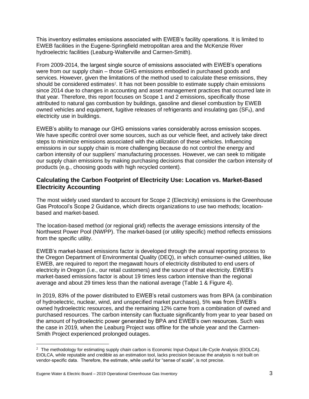This inventory estimates emissions associated with EWEB's facility operations. It is limited to EWEB facilities in the Eugene-Springfield metropolitan area and the McKenzie River hydroelectric facilities (Leaburg-Walterville and Carmen-Smith).

From 2009-2014, the largest single source of emissions associated with EWEB's operations were from our supply chain – those GHG emissions embodied in purchased goods and services. However, given the limitations of the method used to calculate these emissions, they should be considered estimates<sup>2</sup>. It has not been possible to estimate supply chain emissions since 2014 due to changes in accounting and asset management practices that occurred late in that year. Therefore, this report focuses on Scope 1 and 2 emissions, specifically those attributed to natural gas combustion by buildings, gasoline and diesel combustion by EWEB owned vehicles and equipment, fugitive releases of refrigerants and insulating gas ( $SF_6$ ), and electricity use in buildings.

EWEB's ability to manage our GHG emissions varies considerably across emission scopes. We have specific control over some sources, such as our vehicle fleet, and actively take direct steps to minimize emissions associated with the utilization of these vehicles. Influencing emissions in our supply chain is more challenging because do not control the energy and carbon intensity of our suppliers' manufacturing processes. However, we can seek to mitigate our supply chain emissions by making purchasing decisions that consider the carbon intensity of products (e.g., choosing goods with high recycled content).

# **Calculating the Carbon Footprint of Electricity Use: Location vs. Market-Based Electricity Accounting**

The most widely used standard to account for Scope 2 (Electricity) emissions is the Greenhouse Gas Protocol's Scope 2 Guidance, which directs organizations to use two methods; locationbased and market-based.

The location-based method (or regional grid) reflects the average emissions intensity of the Northwest Power Pool (NWPP). The market-based (or utility specific) method reflects emissions from the specific utility.

EWEB's market-based emissions factor is developed through the annual reporting process to the Oregon Department of Environmental Quality (DEQ), in which consumer-owned utilities, like EWEB, are required to report the megawatt hours of electricity distributed to end users of electricity in Oregon (i.e., our retail customers) and the source of that electricity. EWEB's market-based emissions factor is about 19 times less carbon intensive than the regional average and about 29 times less than the national average (Table 1 & Figure 4).

In 2019, 83% of the power distributed to EWEB's retail customers was from BPA (a combination of hydroelectric, nuclear, wind, and unspecified market purchases), 5% was from EWEB's owned hydroelectric resources, and the remaining 12% came from a combination of owned and purchased resources. The carbon intensity can fluctuate significantly from year to year based on the amount of hydroelectric power generated by BPA and EWEB's own resources. Such was the case in 2019, when the Leaburg Project was offline for the whole year and the Carmen-Smith Project experienced prolonged outages.

 $2$  The methodology for estimating supply chain carbon is Economic Input-Output Life-Cycle Analysis (EIOLCA). EIOLCA, while reputable and credible as an estimation tool, lacks precision because the analysis is not built on vendor-specific data. Therefore, the estimate, while useful for "sense of scale", is not precise.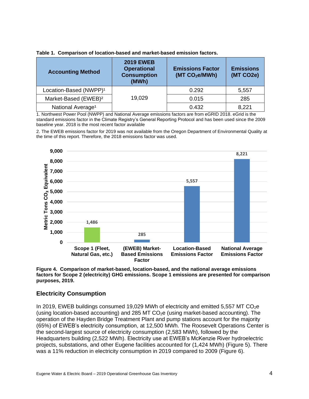| Table 1. Comparison of location-based and market-based emission factors. |
|--------------------------------------------------------------------------|
|--------------------------------------------------------------------------|

| <b>Accounting Method</b>           | <b>2019 EWEB</b><br><b>Operational</b><br><b>Consumption</b><br>(MWh) | <b>Emissions Factor</b><br>(MT CO <sub>2</sub> e/MWh) | <b>Emissions</b><br>(MT CO2e) |
|------------------------------------|-----------------------------------------------------------------------|-------------------------------------------------------|-------------------------------|
| Location-Based (NWPP) <sup>1</sup> |                                                                       | 0.292                                                 | 5,557                         |
| Market-Based (EWEB) <sup>2</sup>   | 19,029                                                                | 0.015                                                 | 285                           |
| National Average <sup>1</sup>      |                                                                       | 0.432                                                 | 8,221                         |

1. Northwest Power Pool (NWPP) and National Average emissions factors are from eGRID 2018. eGrid is the standard emissions factor in the Climate Registry's General Reporting Protocol and has been used since the 2009 baseline year. 2018 is the most recent factor available

2. The EWEB emissions factor for 2019 was not available from the Oregon Department of Environmental Quality at the time of this report. Therefore, the 2018 emissions factor was used.



**Figure 4. Comparison of market-based, location-based, and the national average emissions factors for Scope 2 (electricity) GHG emissions. Scope 1 emissions are presented for comparison purposes, 2019.**

#### **Electricity Consumption**

In 2019, EWEB buildings consumed 19,029 MWh of electricity and emitted 5,557 MT CO<sub>2</sub>e (using location-based accounting) and 285 MT  $CO<sub>2</sub>e$  (using market-based accounting). The operation of the Hayden Bridge Treatment Plant and pump stations account for the majority (65%) of EWEB's electricity consumption, at 12,500 MWh. The Roosevelt Operations Center is the second-largest source of electricity consumption (2,583 MWh), followed by the Headquarters building (2,522 MWh). Electricity use at EWEB's McKenzie River hydroelectric projects, substations, and other Eugene facilities accounted for (1,424 MWh) (Figure 5). There was a 11% reduction in electricity consumption in 2019 compared to 2009 (Figure 6).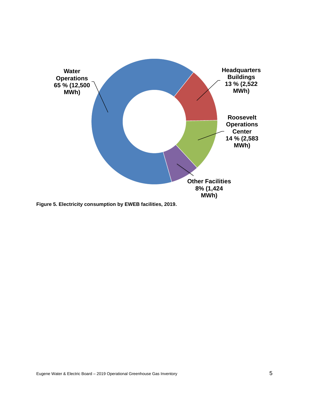

**Figure 5. Electricity consumption by EWEB facilities, 2019.**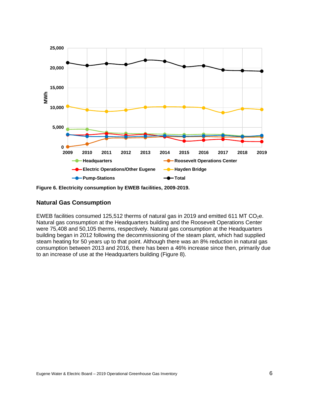

**Figure 6. Electricity consumption by EWEB facilities, 2009-2019.**

# **Natural Gas Consumption**

EWEB facilities consumed 125,512 therms of natural gas in 2019 and emitted 611 MT CO<sub>2</sub>e. Natural gas consumption at the Headquarters building and the Roosevelt Operations Center were 75,408 and 50,105 therms, respectively. Natural gas consumption at the Headquarters building began in 2012 following the decommissioning of the steam plant, which had supplied steam heating for 50 years up to that point. Although there was an 8% reduction in natural gas consumption between 2013 and 2016, there has been a 46% increase since then, primarily due to an increase of use at the Headquarters building (Figure 8).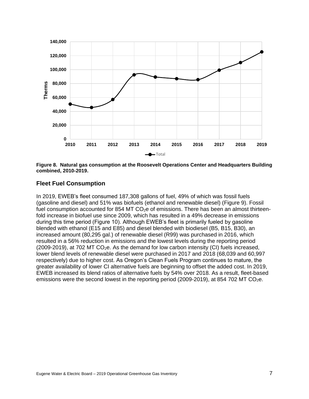

**Figure 8. Natural gas consumption at the Roosevelt Operations Center and Headquarters Building combined, 2010-2019.**

#### **Fleet Fuel Consumption**

In 2019, EWEB's fleet consumed 187,308 gallons of fuel, 49% of which was fossil fuels (gasoline and diesel) and 51% was biofuels (ethanol and renewable diesel) (Figure 9). Fossil fuel consumption accounted for 854 MT  $CO<sub>2</sub>e$  of emissions. There has been an almost thirteenfold increase in biofuel use since 2009, which has resulted in a 49% decrease in emissions during this time period (Figure 10). Although EWEB's fleet is primarily fueled by gasoline blended with ethanol (E15 and E85) and diesel blended with biodiesel (B5, B15, B30), an increased amount (80,295 gal.) of renewable diesel (R99) was purchased in 2016, which resulted in a 56% reduction in emissions and the lowest levels during the reporting period  $(2009-2019)$ , at 702 MT CO<sub>2</sub>e. As the demand for low carbon intensity (CI) fuels increased. lower blend levels of renewable diesel were purchased in 2017 and 2018 (68,039 and 60,997 respectively) due to higher cost. As Oregon's Clean Fuels Program continues to mature, the greater availability of lower CI alternative fuels are beginning to offset the added cost. In 2019, EWEB increased its blend ratios of alternative fuels by 54% over 2018. As a result, fleet-based emissions were the second lowest in the reporting period (2009-2019), at 854 702 MT CO<sub>2</sub>e.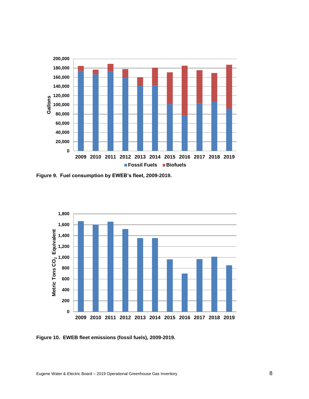

**Figure 9. Fuel consumption by EWEB's fleet, 2009-2019.**



**Figure 10. EWEB fleet emissions (fossil fuels), 2009-2019.**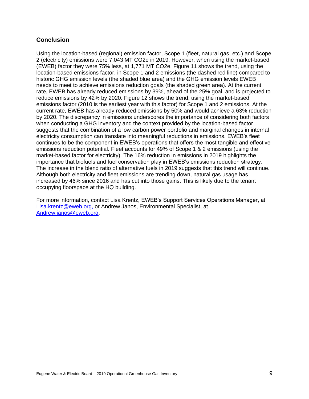### **Conclusion**

Using the location-based (regional) emission factor, Scope 1 (fleet, natural gas, etc.) and Scope 2 (electricity) emissions were 7,043 MT CO2e in 2019. However, when using the market-based (EWEB) factor they were 75% less, at 1,771 MT CO2e. Figure 11 shows the trend, using the location-based emissions factor, in Scope 1 and 2 emissions (the dashed red line) compared to historic GHG emission levels (the shaded blue area) and the GHG emission levels EWEB needs to meet to achieve emissions reduction goals (the shaded green area). At the current rate, EWEB has already reduced emissions by 39%, ahead of the 25% goal, and is projected to reduce emissions by 42% by 2020. Figure 12 shows the trend, using the market-based emissions factor (2010 is the earliest year with this factor) for Scope 1 and 2 emissions. At the current rate, EWEB has already reduced emissions by 50% and would achieve a 63% reduction by 2020. The discrepancy in emissions underscores the importance of considering both factors when conducting a GHG inventory and the context provided by the location-based factor suggests that the combination of a low carbon power portfolio and marginal changes in internal electricity consumption can translate into meaningful reductions in emissions. EWEB's fleet continues to be the component in EWEB's operations that offers the most tangible and effective emissions reduction potential. Fleet accounts for 49% of Scope 1 & 2 emissions (using the market-based factor for electricity). The 16% reduction in emissions in 2019 highlights the importance that biofuels and fuel conservation play in EWEB's emissions reduction strategy. The increase in the blend ratio of alternative fuels in 2019 suggests that this trend will continue. Although both electricity and fleet emissions are trending down, natural gas usage has increased by 46% since 2016 and has cut into those gains. This is likely due to the tenant occupying floorspace at the HQ building.

For more information, contact Lisa Krentz, EWEB's Support Services Operations Manager, at [Lisa.krentz@eweb.org,](mailto:Lisa.krentz@eweb.org) or Andrew Janos, Environmental Specialist, at [Andrew.janos@eweb.org.](mailto:Andrew.janos@eweb.org)